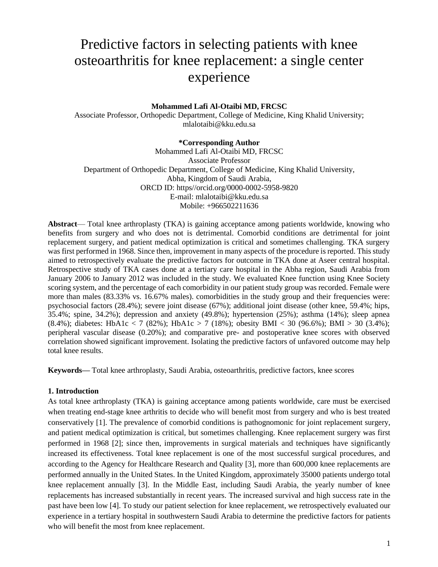# Predictive factors in selecting patients with knee osteoarthritis for knee replacement: a single center experience

## **Mohammed Lafi Al-Otaibi MD, FRCSC**

Associate Professor, Orthopedic Department, College of Medicine, King Khalid University; mlalotaibi@kku.edu.sa

#### **\*Corresponding Author**

Mohammed Lafi Al-Otaibi MD, FRCSC Associate Professor Department of Orthopedic Department, College of Medicine, King Khalid University, Abha, Kingdom of Saudi Arabia, ORCD ID: https//orcid.org/0000-0002-5958-9820 E-mail: mlalotaibi@kku.edu.sa Mobile: +966502211636

**Abstract**— Total knee arthroplasty (TKA) is gaining acceptance among patients worldwide, knowing who benefits from surgery and who does not is detrimental. Comorbid conditions are detrimental for joint replacement surgery, and patient medical optimization is critical and sometimes challenging. TKA surgery was first performed in 1968. Since then, improvement in many aspects of the procedure is reported. This study aimed to retrospectively evaluate the predictive factors for outcome in TKA done at Aseer central hospital. Retrospective study of TKA cases done at a tertiary care hospital in the Abha region, Saudi Arabia from January 2006 to January 2012 was included in the study. We evaluated Knee function using Knee Society scoring system, and the percentage of each comorbidity in our patient study group was recorded. Female were more than males (83.33% vs. 16.67% males). comorbidities in the study group and their frequencies were: psychosocial factors (28.4%); severe joint disease (67%); additional joint disease (other knee, 59.4%; hips, 35.4%; spine, 34.2%); depression and anxiety (49.8%); hypertension (25%); asthma (14%); sleep apnea (8.4%); diabetes: HbA1c < 7 (82%); HbA1c > 7 (18%); obesity BMI < 30 (96.6%); BMI > 30 (3.4%); peripheral vascular disease (0.20%); and comparative pre- and postoperative knee scores with observed correlation showed significant improvement. Isolating the predictive factors of unfavored outcome may help total knee results.

**Keywords***—* Total knee arthroplasty, Saudi Arabia, osteoarthritis, predictive factors, knee scores

#### **1. Introduction**

As total knee arthroplasty (TKA) is gaining acceptance among patients worldwide, care must be exercised when treating end-stage knee arthritis to decide who will benefit most from surgery and who is best treated conservatively [1]. The prevalence of comorbid conditions is pathognomonic for joint replacement surgery, and patient medical optimization is critical, but sometimes challenging. Knee replacement surgery was first performed in 1968 [2]; since then, improvements in surgical materials and techniques have significantly increased its effectiveness. Total knee replacement is one of the most successful surgical procedures, and according to the Agency for Healthcare Research and Quality [3], more than 600,000 knee replacements are performed annually in the United States. In the United Kingdom, approximately 35000 patients undergo total knee replacement annually [3]. In the Middle East, including Saudi Arabia, the yearly number of knee replacements has increased substantially in recent years. The increased survival and high success rate in the past have been low [4]. To study our patient selection for knee replacement, we retrospectively evaluated our experience in a tertiary hospital in southwestern Saudi Arabia to determine the predictive factors for patients who will benefit the most from knee replacement.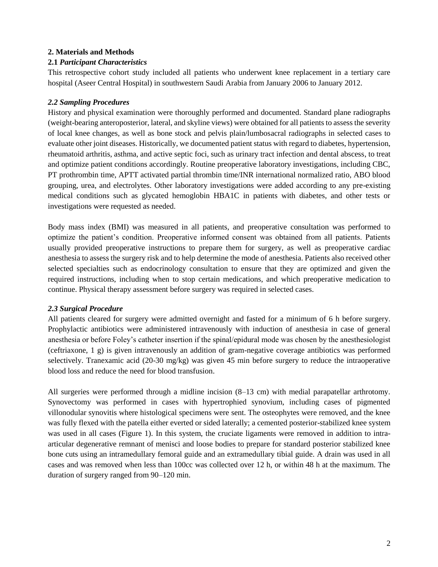# **2. Materials and Methods**

## **2.1** *Participant Characteristics*

This retrospective cohort study included all patients who underwent knee replacement in a tertiary care hospital (Aseer Central Hospital) in southwestern Saudi Arabia from January 2006 to January 2012.

# *2.2 Sampling Procedures*

History and physical examination were thoroughly performed and documented. Standard plane radiographs (weight-bearing anteroposterior, lateral, and skyline views) were obtained for all patients to assess the severity of local knee changes, as well as bone stock and pelvis plain/lumbosacral radiographs in selected cases to evaluate other joint diseases. Historically, we documented patient status with regard to diabetes, hypertension, rheumatoid arthritis, asthma, and active septic foci, such as urinary tract infection and dental abscess, to treat and optimize patient conditions accordingly. Routine preoperative laboratory investigations, including CBC, PT prothrombin time, APTT activated partial thrombin time/INR international normalized ratio, ABO blood grouping, urea, and electrolytes. Other laboratory investigations were added according to any pre-existing medical conditions such as glycated hemoglobin HBA1C in patients with diabetes, and other tests or investigations were requested as needed.

Body mass index (BMI) was measured in all patients, and preoperative consultation was performed to optimize the patient's condition. Preoperative informed consent was obtained from all patients. Patients usually provided preoperative instructions to prepare them for surgery, as well as preoperative cardiac anesthesia to assess the surgery risk and to help determine the mode of anesthesia. Patients also received other selected specialties such as endocrinology consultation to ensure that they are optimized and given the required instructions, including when to stop certain medications, and which preoperative medication to continue. Physical therapy assessment before surgery was required in selected cases.

#### *2.3 Surgical Procedure*

All patients cleared for surgery were admitted overnight and fasted for a minimum of 6 h before surgery. Prophylactic antibiotics were administered intravenously with induction of anesthesia in case of general anesthesia or before Foley's catheter insertion if the spinal/epidural mode was chosen by the anesthesiologist (ceftriaxone, 1 g) is given intravenously an addition of gram-negative coverage antibiotics was performed selectively. Tranexamic acid (20-30 mg/kg) was given 45 min before surgery to reduce the intraoperative blood loss and reduce the need for blood transfusion.

All surgeries were performed through a midline incision (8–13 cm) with medial parapatellar arthrotomy. Synovectomy was performed in cases with hypertrophied synovium, including cases of pigmented villonodular synovitis where histological specimens were sent. The osteophytes were removed, and the knee was fully flexed with the patella either everted or sided laterally; a cemented posterior-stabilized knee system was used in all cases (Figure 1). In this system, the cruciate ligaments were removed in addition to intraarticular degenerative remnant of menisci and loose bodies to prepare for standard posterior stabilized knee bone cuts using an intramedullary femoral guide and an extramedullary tibial guide. A drain was used in all cases and was removed when less than 100cc was collected over 12 h, or within 48 h at the maximum. The duration of surgery ranged from 90–120 min.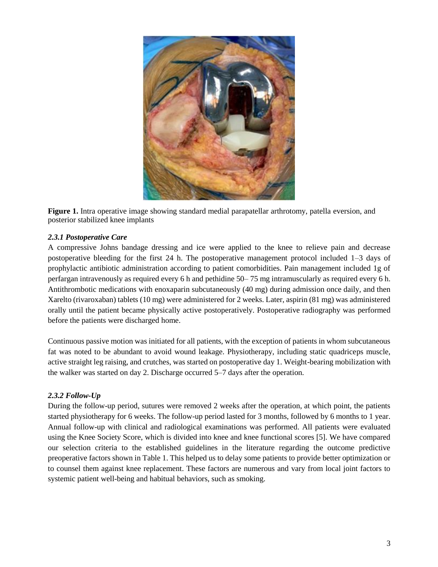

**Figure 1.** Intra operative image showing standard medial parapatellar arthrotomy, patella eversion, and posterior stabilized knee implants

## *2.3.1 Postoperative Care*

A compressive Johns bandage dressing and ice were applied to the knee to relieve pain and decrease postoperative bleeding for the first 24 h. The postoperative management protocol included 1–3 days of prophylactic antibiotic administration according to patient comorbidities. Pain management included 1g of perfargan intravenously as required every 6 h and pethidine 50– 75 mg intramuscularly as required every 6 h. Antithrombotic medications with enoxaparin subcutaneously (40 mg) during admission once daily, and then Xarelto (rivaroxaban) tablets (10 mg) were administered for 2 weeks. Later, aspirin (81 mg) was administered orally until the patient became physically active postoperatively. Postoperative radiography was performed before the patients were discharged home.

Continuous passive motion was initiated for all patients, with the exception of patients in whom subcutaneous fat was noted to be abundant to avoid wound leakage. Physiotherapy, including static quadriceps muscle, active straight leg raising, and crutches, was started on postoperative day 1. Weight-bearing mobilization with the walker was started on day 2. Discharge occurred 5–7 days after the operation.

# *2.3.2 Follow-Up*

During the follow-up period, sutures were removed 2 weeks after the operation, at which point, the patients started physiotherapy for 6 weeks. The follow-up period lasted for 3 months, followed by 6 months to 1 year. Annual follow-up with clinical and radiological examinations was performed. All patients were evaluated using the Knee Society Score, which is divided into knee and knee functional scores [5]. We have compared our selection criteria to the established guidelines in the literature regarding the outcome predictive preoperative factors shown in Table 1. This helped us to delay some patients to provide better optimization or to counsel them against knee replacement. These factors are numerous and vary from local joint factors to systemic patient well-being and habitual behaviors, such as smoking.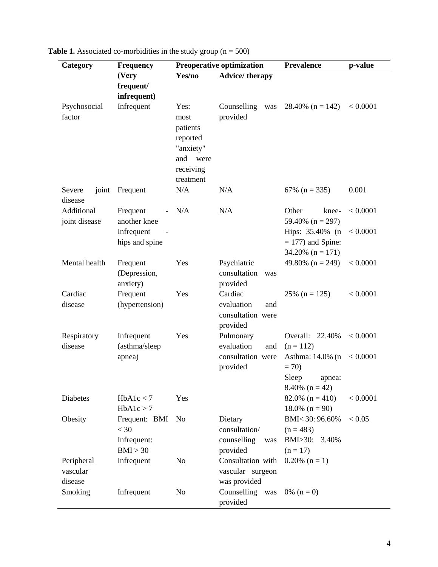| Category                          | <b>Frequency</b>                                   | <b>Preoperative optimization</b>                                                        |                                                               | <b>Prevalence</b>                                                   | p-value  |
|-----------------------------------|----------------------------------------------------|-----------------------------------------------------------------------------------------|---------------------------------------------------------------|---------------------------------------------------------------------|----------|
|                                   | (Very                                              | Yes/no                                                                                  | <b>Advice/therapy</b>                                         |                                                                     |          |
|                                   | frequent/<br>infrequent)                           |                                                                                         |                                                               |                                                                     |          |
| Psychosocial<br>factor            | Infrequent                                         | Yes:<br>most<br>patients<br>reported<br>"anxiety"<br>and were<br>receiving<br>treatment | Counselling<br>was<br>provided                                | 28.40% $(n = 142)$                                                  | < 0.0001 |
| Severe<br>joint<br>disease        | Frequent                                           | N/A                                                                                     | N/A                                                           | 67% ( $n = 335$ )                                                   | 0.001    |
| Additional<br>joint disease       | Frequent<br>another knee                           | N/A                                                                                     | N/A                                                           | Other<br>knee-<br>59.40% $(n = 297)$                                | < 0.0001 |
|                                   | Infrequent<br>hips and spine                       |                                                                                         |                                                               | Hips: 35.40% (n<br>$= 177$ ) and Spine:<br>$34.20\%$ (n = 171)      | < 0.0001 |
| Mental health                     | Frequent<br>(Depression,<br>anxiety)               | Yes                                                                                     | Psychiatric<br>consultation<br>was<br>provided                | 49.80% $(n = 249)$                                                  | < 0.0001 |
| Cardiac<br>disease                | Frequent<br>(hypertension)                         | Yes                                                                                     | Cardiac<br>evaluation<br>and<br>consultation were<br>provided | $25\%$ (n = 125)                                                    | < 0.0001 |
| Respiratory<br>disease            | Infrequent<br>(asthma/sleep                        | Yes                                                                                     | Pulmonary<br>evaluation<br>and                                | Overall: 22.40%<br>$(n = 112)$                                      | < 0.0001 |
|                                   | apnea)                                             |                                                                                         | consultation were<br>provided                                 | Asthma: 14.0% (n)<br>$= 70$<br>Sleep<br>apnea:<br>$8.40\%$ (n = 42) | < 0.0001 |
| Diabetes                          | HbA1c < 7<br>HbA1c > 7                             | Yes                                                                                     |                                                               | 82.0% $(n = 410)$<br>$18.0\%$ (n = 90)                              | < 0.0001 |
| Obesity                           | Frequent: BMI<br>$<$ 30<br>Infrequent:<br>BMI > 30 | N <sub>o</sub>                                                                          | Dietary<br>consultation/<br>counselling<br>was<br>provided    | BMI<30:96.60%<br>$(n = 483)$<br>$BMI > 30$ :<br>3.40%<br>$(n = 17)$ | < 0.05   |
| Peripheral<br>vascular<br>disease | Infrequent                                         | N <sub>o</sub>                                                                          | Consultation with<br>vascular surgeon<br>was provided         | $0.20\%$ (n = 1)                                                    |          |
| Smoking                           | Infrequent                                         | N <sub>o</sub>                                                                          | Counselling was<br>provided                                   | 0% $(n = 0)$                                                        |          |

| <b>Table 1.</b> Associated co-morbidities in the study group ( $n = 500$ ) |
|----------------------------------------------------------------------------|
|----------------------------------------------------------------------------|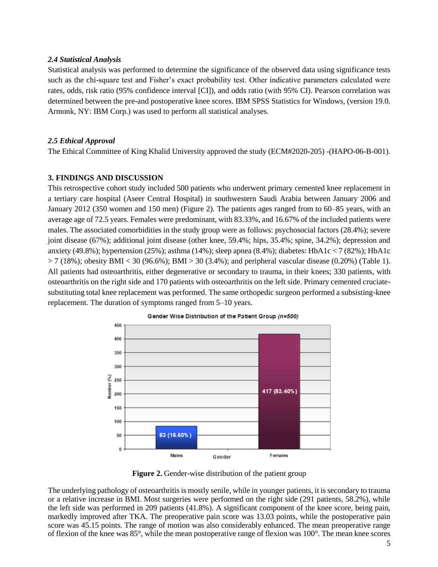#### *2.4 Statistical Analysis*

Statistical analysis was performed to determine the significance of the observed data using significance tests such as the chi-square test and Fisher's exact probability test. Other indicative parameters calculated were rates, odds, risk ratio (95% confidence interval [CI]), and odds ratio (with 95% CI). Pearson correlation was determined between the pre-and postoperative knee scores. IBM SPSS Statistics for Windows, (version 19.0. Armonk, NY: IBM Corp.) was used to perform all statistical analyses.

# *2.5 Ethical Approval*

The Ethical Committee of King Khalid University approved the study (ECM#2020-205) -(HAPO-06-B-001).

## **3. FINDINGS AND DISCUSSION**

This retrospective cohort study included 500 patients who underwent primary cemented knee replacement in a tertiary care hospital (Aseer Central Hospital) in southwestern Saudi Arabia between January 2006 and January 2012 (350 women and 150 men) (Figure 2). The patients ages ranged from to 60–85 years, with an average age of 72.5 years. Females were predominant, with 83.33%, and 16.67% of the included patients were males. The associated comorbidities in the study group were as follows: psychosocial factors (28.4%); severe joint disease (67%); additional joint disease (other knee, 59.4%; hips, 35.4%; spine, 34.2%); depression and anxiety (49.8%); hypertension (25%); asthma (14%); sleep apnea (8.4%); diabetes: HbA1c < 7 (82%); HbA1c  $> 7 (18\%)$ ; obesity BMI < 30 (96.6%); BMI > 30 (3.4%); and peripheral vascular disease (0.20%) (Table 1). All patients had osteoarthritis, either degenerative or secondary to trauma, in their knees; 330 patients, with osteoarthritis on the right side and 170 patients with osteoarthritis on the left side. Primary cemented cruciatesubstituting total knee replacement was performed. The same orthopedic surgeon performed a subsisting-knee replacement. The duration of symptoms ranged from 5–10 years.



Gender Wise Distribution of the Patient Group (n=500)

**Figure 2.** Gender-wise distribution of the patient group

The underlying pathology of osteoarthritis is mostly senile, while in younger patients, it is secondary to trauma or a relative increase in BMI. Most surgeries were performed on the right side (291 patients, 58.2%), while the left side was performed in 209 patients (41.8%). A significant component of the knee score, being pain, markedly improved after TKA. The preoperative pain score was 13.03 points, while the postoperative pain score was 45.15 points. The range of motion was also considerably enhanced. The mean preoperative range of flexion of the knee was 85°, while the mean postoperative range of flexion was 100°. The mean knee scores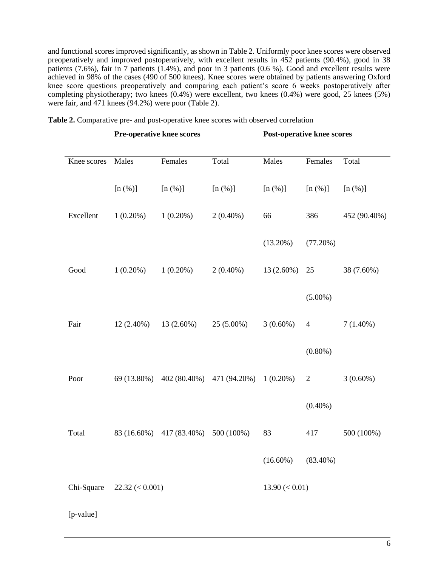and functional scores improved significantly, as shown in Table 2. Uniformly poor knee scores were observed preoperatively and improved postoperatively, with excellent results in 452 patients (90.4%), good in 38 properatively and improved posteperatively, when encounted the matter of purchase patients (7.6%), fair in 7 patients (1.4%), and poor in 3 patients (0.6 %). Good and excellent results were achieved in 98% of the cases (490 of 500 knees). Knee scores were obtained by patients answering Oxford knee score questions preoperatively and comparing each patient's score 6 weeks postoperatively after completing physiotherapy; two knees (0.4%) were excellent, two knees (0.4%) were good, 25 knees (5%) were fair, and 471 knees (94.2%) were poor (Table 2).

|             | <b>Pre-operative knee scores</b> |              |                           | <b>Post-operative knee scores</b> |                |              |
|-------------|----------------------------------|--------------|---------------------------|-----------------------------------|----------------|--------------|
|             |                                  |              |                           |                                   |                |              |
| Knee scores | Males                            | Females      | Total                     | Males                             | Females        | Total        |
|             | [n (%)]                          | [n (%)]      | [n (%)]                   | [n (%)]                           | [n (%)]        | [n (%)]      |
| Excellent   | $1(0.20\%)$                      | $1(0.20\%)$  | $2(0.40\%)$               | 66                                | 386            | 452 (90.40%) |
|             |                                  |              |                           | $(13.20\%)$                       | (77.20%)       |              |
| Good        | $1(0.20\%)$                      | $1(0.20\%)$  | $2(0.40\%)$               | 13 (2.60%)                        | 25             | 38 (7.60%)   |
|             |                                  |              |                           |                                   | $(5.00\%)$     |              |
| Fair        | $12(2.40\%)$                     | $13(2.60\%)$ | $25(5.00\%)$              | $3(0.60\%)$                       | $\overline{4}$ | $7(1.40\%)$  |
|             |                                  |              |                           |                                   | $(0.80\%)$     |              |
| Poor        | 69 (13.80%)                      |              | 402 (80.40%) 471 (94.20%) | $1(0.20\%)$                       | $\overline{2}$ | $3(0.60\%)$  |
|             |                                  |              |                           |                                   | $(0.40\%)$     |              |
| Total       | 83 (16.60%)                      | 417 (83.40%) | 500 (100%)                | 83                                | 417            | 500 (100%)   |
|             |                                  |              |                           | $(16.60\%)$                       | $(83.40\%)$    |              |
| Chi-Square  | $22.32 \leq 0.001$               |              |                           | $13.90 \, (< 0.01)$               |                |              |

[p-value]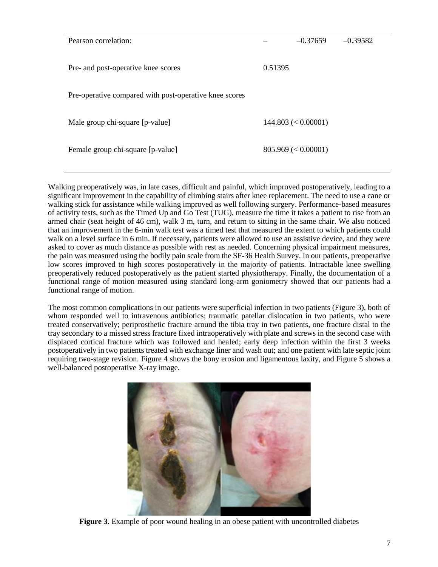| Pearson correlation:                                   | $-0.37659$<br>$-0.39582$ |  |  |  |
|--------------------------------------------------------|--------------------------|--|--|--|
| Pre- and post-operative knee scores                    | 0.51395                  |  |  |  |
| Pre-operative compared with post-operative knee scores |                          |  |  |  |
| Male group chi-square [p-value]                        | $144.803 \leq 0.00001$   |  |  |  |
| Female group chi-square [p-value]                      | $805.969 \leq 0.00001$   |  |  |  |

Walking preoperatively was, in late cases, difficult and painful, which improved postoperatively, leading to a significant improvement in the capability of climbing stairs after knee replacement. The need to use a cane or walking stick for assistance while walking improved as well following surgery. Performance-based measures of activity tests, such as the Timed Up and Go Test (TUG), measure the time it takes a patient to rise from an armed chair (seat height of 46 cm), walk 3 m, turn, and return to sitting in the same chair. We also noticed that an improvement in the 6-min walk test was a timed test that measured the extent to which patients could walk on a level surface in 6 min. If necessary, patients were allowed to use an assistive device, and they were asked to cover as much distance as possible with rest as needed. Concerning physical impairment measures, the pain was measured using the bodily pain scale from the SF-36 Health Survey. In our patients, preoperative low scores improved to high scores postoperatively in the majority of patients. Intractable knee swelling preoperatively reduced postoperatively as the patient started physiotherapy. Finally, the documentation of a functional range of motion measured using standard long-arm goniometry showed that our patients had a functional range of motion.

The most common complications in our patients were superficial infection in two patients (Figure 3), both of whom responded well to intravenous antibiotics; traumatic patellar dislocation in two patients, who were treated conservatively; periprosthetic fracture around the tibia tray in two patients, one fracture distal to the tray secondary to a missed stress fracture fixed intraoperatively with plate and screws in the second case with displaced cortical fracture which was followed and healed; early deep infection within the first 3 weeks postoperatively in two patients treated with exchange liner and wash out; and one patient with late septic joint requiring two-stage revision. Figure 4 shows the bony erosion and ligamentous laxity, and Figure 5 shows a well-balanced postoperative X-ray image.



**Figure 3.** Example of poor wound healing in an obese patient with uncontrolled diabetes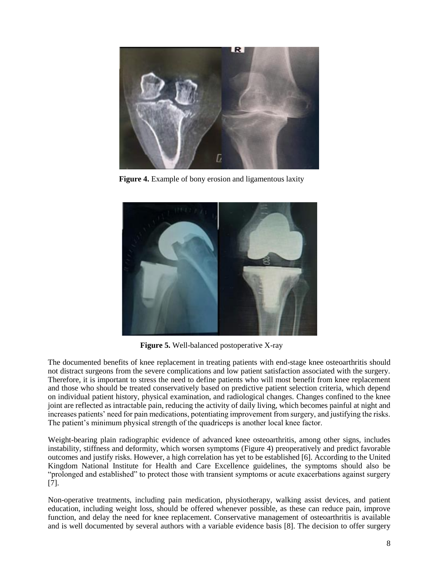

**Figure 4.** Example of bony erosion and ligamentous laxity



**Figure 5.** Well-balanced postoperative X-ray

The documented benefits of knee replacement in treating patients with end-stage knee osteoarthritis should not distract surgeons from the severe complications and low patient satisfaction associated with the surgery. Therefore, it is important to stress the need to define patients who will most benefit from knee replacement and those who should be treated conservatively based on predictive patient selection criteria, which depend on individual patient history, physical examination, and radiological changes. Changes confined to the knee joint are reflected as intractable pain, reducing the activity of daily living, which becomes painful at night and increases patients' need for pain medications, potentiating improvement from surgery, and justifying the risks. The patient's minimum physical strength of the quadriceps is another local knee factor.

Weight-bearing plain radiographic evidence of advanced knee osteoarthritis, among other signs, includes instability, stiffness and deformity, which worsen symptoms (Figure 4) preoperatively and predict favorable outcomes and justify risks. However, a high correlation has yet to be established [6]. According to the United Kingdom National Institute for Health and Care Excellence guidelines, the symptoms should also be "prolonged and established" to protect those with transient symptoms or acute exacerbations against surgery [7].

Non-operative treatments, including pain medication, physiotherapy, walking assist devices, and patient education, including weight loss, should be offered whenever possible, as these can reduce pain, improve function, and delay the need for knee replacement. Conservative management of osteoarthritis is available and is well documented by several authors with a variable evidence basis [8]. The decision to offer surgery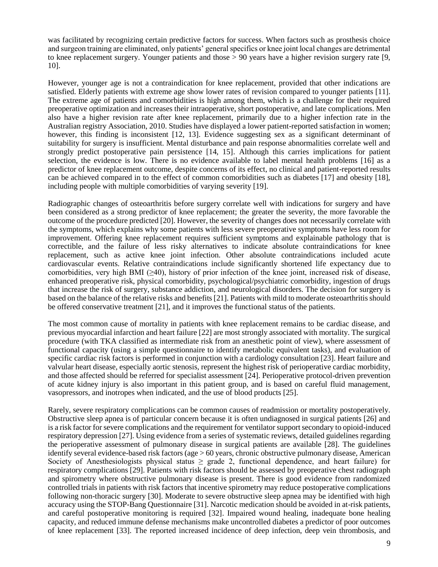was facilitated by recognizing certain predictive factors for success. When factors such as prosthesis choice and surgeon training are eliminated, only patients' general specifics or knee joint local changes are detrimental to knee replacement surgery. Younger patients and those > 90 years have a higher revision surgery rate [9, 10].

However, younger age is not a contraindication for knee replacement, provided that other indications are satisfied. Elderly patients with extreme age show lower rates of revision compared to younger patients [11]. The extreme age of patients and comorbidities is high among them, which is a challenge for their required preoperative optimization and increases their intraoperative, short postoperative, and late complications. Men also have a higher revision rate after knee replacement, primarily due to a higher infection rate in the Australian registry Association, 2010. Studies have displayed a lower patient-reported satisfaction in women; however, this finding is inconsistent [12, 13]. Evidence suggesting sex as a significant determinant of suitability for surgery is insufficient. Mental disturbance and pain response abnormalities correlate well and strongly predict postoperative pain persistence [14, 15]. Although this carries implications for patient selection, the evidence is low. There is no evidence available to label mental health problems [16] as a predictor of knee replacement outcome, despite concerns of its effect, no clinical and patient-reported results can be achieved compared in to the effect of common comorbidities such as diabetes [17] and obesity [18], including people with multiple comorbidities of varying severity [19].

Radiographic changes of osteoarthritis before surgery correlate well with indications for surgery and have been considered as a strong predictor of knee replacement; the greater the severity, the more favorable the outcome of the procedure predicted [20]. However, the severity of changes does not necessarily correlate with the symptoms, which explains why some patients with less severe preoperative symptoms have less room for improvement. Offering knee replacement requires sufficient symptoms and explainable pathology that is correctible, and the failure of less risky alternatives to indicate absolute contraindications for knee replacement, such as active knee joint infection. Other absolute contraindications included acute cardiovascular events. Relative contraindications include significantly shortened life expectancy due to comorbidities, very high BMI ( $\geq 40$ ), history of prior infection of the knee joint, increased risk of disease, enhanced preoperative risk, physical comorbidity, psychological/psychiatric comorbidity, ingestion of drugs that increase the risk of surgery, substance addiction, and neurological disorders. The decision for surgery is based on the balance of the relative risks and benefits [21]. Patients with mild to moderate osteoarthritis should be offered conservative treatment [21], and it improves the functional status of the patients.

The most common cause of mortality in patients with knee replacement remains to be cardiac disease, and previous myocardial infarction and heart failure [22] are most strongly associated with mortality. The surgical procedure (with TKA classified as intermediate risk from an anesthetic point of view), where assessment of functional capacity (using a simple questionnaire to identify metabolic equivalent tasks), and evaluation of specific cardiac risk factors is performed in conjunction with a cardiology consultation [23]. Heart failure and valvular heart disease, especially aortic stenosis, represent the highest risk of perioperative cardiac morbidity, and those affected should be referred for specialist assessment [24]. Perioperative protocol-driven prevention of acute kidney injury is also important in this patient group, and is based on careful fluid management, vasopressors, and inotropes when indicated, and the use of blood products [25].

Rarely, severe respiratory complications can be common causes of readmission or mortality postoperatively. Obstructive sleep apnea is of particular concern because it is often undiagnosed in surgical patients [26] and is a risk factor for severe complications and the requirement for ventilator support secondary to opioid-induced respiratory depression [27]. Using evidence from a series of systematic reviews, detailed guidelines regarding the perioperative assessment of pulmonary disease in surgical patients are available [28]. The guidelines identify several evidence-based risk factors (age > 60 years, chronic obstructive pulmonary disease, American Society of Anesthesiologists physical status  $\geq$  grade 2, functional dependence, and heart failure) for respiratory complications [29]. Patients with risk factors should be assessed by preoperative chest radiograph and spirometry where obstructive pulmonary disease is present. There is good evidence from randomized controlled trials in patients with risk factors that incentive spirometry may reduce postoperative complications following non-thoracic surgery [30]. Moderate to severe obstructive sleep apnea may be identified with high accuracy using the STOP-Bang Questionnaire [31]. Narcotic medication should be avoided in at-risk patients, and careful postoperative monitoring is required [32]. Impaired wound healing, inadequate bone healing capacity, and reduced immune defense mechanisms make uncontrolled diabetes a predictor of poor outcomes of knee replacement [33]. The reported increased incidence of deep infection, deep vein thrombosis, and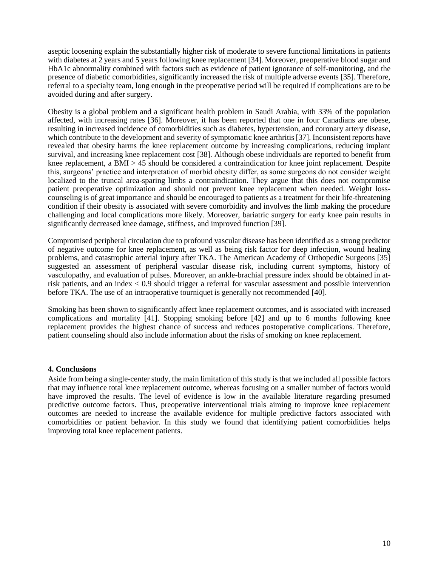aseptic loosening explain the substantially higher risk of moderate to severe functional limitations in patients with diabetes at 2 years and 5 years following knee replacement [34]. Moreover, preoperative blood sugar and HbA1c abnormality combined with factors such as evidence of patient ignorance of self-monitoring, and the presence of diabetic comorbidities, significantly increased the risk of multiple adverse events [35]. Therefore, referral to a specialty team, long enough in the preoperative period will be required if complications are to be avoided during and after surgery.

Obesity is a global problem and a significant health problem in Saudi Arabia, with 33% of the population affected, with increasing rates [36]. Moreover, it has been reported that one in four Canadians are obese, resulting in increased incidence of comorbidities such as diabetes, hypertension, and coronary artery disease, which contribute to the development and severity of symptomatic knee arthritis [37]. Inconsistent reports have revealed that obesity harms the knee replacement outcome by increasing complications, reducing implant survival, and increasing knee replacement cost [38]. Although obese individuals are reported to benefit from knee replacement, a BMI > 45 should be considered a contraindication for knee joint replacement. Despite this, surgeons' practice and interpretation of morbid obesity differ, as some surgeons do not consider weight localized to the truncal area-sparing limbs a contraindication. They argue that this does not compromise patient preoperative optimization and should not prevent knee replacement when needed. Weight losscounseling is of great importance and should be encouraged to patients as a treatment for their life-threatening condition if their obesity is associated with severe comorbidity and involves the limb making the procedure challenging and local complications more likely. Moreover, bariatric surgery for early knee pain results in significantly decreased knee damage, stiffness, and improved function [39].

Compromised peripheral circulation due to profound vascular disease has been identified as a strong predictor of negative outcome for knee replacement, as well as being risk factor for deep infection, wound healing problems, and catastrophic arterial injury after TKA. The American Academy of Orthopedic Surgeons [35] suggested an assessment of peripheral vascular disease risk, including current symptoms, history of vasculopathy, and evaluation of pulses. Moreover, an ankle-brachial pressure index should be obtained in atrisk patients, and an index < 0.9 should trigger a referral for vascular assessment and possible intervention before TKA. The use of an intraoperative tourniquet is generally not recommended [40].

Smoking has been shown to significantly affect knee replacement outcomes, and is associated with increased complications and mortality [41]. Stopping smoking before [42] and up to 6 months following knee replacement provides the highest chance of success and reduces postoperative complications. Therefore, patient counseling should also include information about the risks of smoking on knee replacement.

#### **4. Conclusions**

Aside from being a single-center study, the main limitation of this study is that we included all possible factors that may influence total knee replacement outcome, whereas focusing on a smaller number of factors would have improved the results. The level of evidence is low in the available literature regarding presumed predictive outcome factors. Thus, preoperative interventional trials aiming to improve knee replacement outcomes are needed to increase the available evidence for multiple predictive factors associated with comorbidities or patient behavior. In this study we found that identifying patient comorbidities helps improving total knee replacement patients.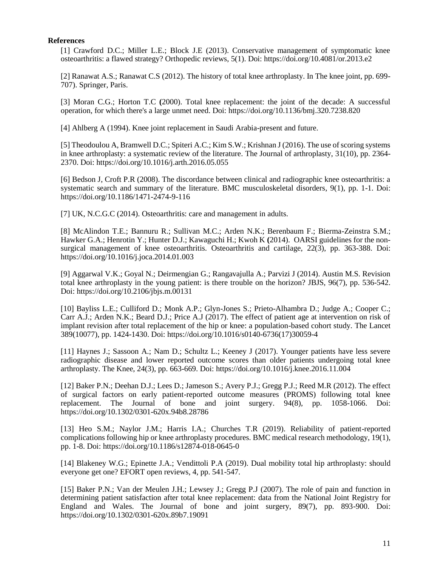#### **References**

[1] Crawford D.C.; Miller L.E.; Block J.E (2013). Conservative management of symptomatic knee osteoarthritis: a flawed strategy? Orthopedic reviews, 5(1). Doi:<https://doi.org/10.4081/or.2013.e2>

[2] Ranawat A.S.; Ranawat C.S (2012). The history of total knee arthroplasty. In The knee joint, pp. 699- 707). Springer, Paris.

[3] Moran C.G.; Horton T.C **(**2000). Total knee replacement: the joint of the decade: A successful operation, for which there's a large unmet need. Doi:<https://doi.org/10.1136/bmj.320.7238.820>

[4] Ahlberg A (1994). Knee joint replacement in Saudi Arabia-present and future.

[5] Theodoulou A, Bramwell D.C.; Spiteri A.C.; Kim S.W.; Krishnan J (2016). The use of scoring systems in knee arthroplasty: a systematic review of the literature. The Journal of arthroplasty, 31(10), pp. 2364- 2370. Doi:<https://doi.org/10.1016/j.arth.2016.05.055>

[6] Bedson J, Croft P.R (2008). The discordance between clinical and radiographic knee osteoarthritis: a systematic search and summary of the literature. BMC musculoskeletal disorders, 9(1), pp. 1-1. Doi: <https://doi.org/10.1186/1471-2474-9-116>

[7] UK, N.C.G.C (2014). Osteoarthritis: care and management in adults.

[8] McAlindon T.E.; Bannuru R.; Sullivan M.C.; Arden N.K.; Berenbaum F.; Bierma-Zeinstra S.M.; Hawker G.A.; Henrotin Y.; Hunter D.J.; Kawaguchi H.; Kwoh K **(**2014). OARSI guidelines for the nonsurgical management of knee osteoarthritis. Osteoarthritis and cartilage, 22(3), pp. 363-388. Doi: <https://doi.org/10.1016/j.joca.2014.01.003>

[9] Aggarwal V.K.; Goyal N.; Deirmengian G.; Rangavajulla A.; Parvizi J (2014). Austin M.S. Revision total knee arthroplasty in the young patient: is there trouble on the horizon? JBJS, 96(7), pp. 536-542. Doi:<https://doi.org/10.2106/jbjs.m.00131>

[10] Bayliss L.E.; Culliford D.; Monk A.P.; Glyn-Jones S.; Prieto-Alhambra D.; Judge A.; Cooper C.; Carr A.J.; Arden N.K.; Beard D.J.; Price A.J (2017). The effect of patient age at intervention on risk of implant revision after total replacement of the hip or knee: a population-based cohort study. The Lancet 389(10077), pp. 1424-1430. Doi: [https://doi.org/10.1016/s0140-6736\(17\)30059-4](https://doi.org/10.1016/s0140-6736(17)30059-4)

[11] Haynes J.; Sassoon A.; Nam D.; Schultz L.; Keeney J (2017). Younger patients have less severe radiographic disease and lower reported outcome scores than older patients undergoing total knee arthroplasty. The Knee, 24(3), pp. 663-669. Doi:<https://doi.org/10.1016/j.knee.2016.11.004>

[12] Baker P.N.; Deehan D.J.; Lees D.; Jameson S.; Avery P.J.; Gregg P.J.; Reed M.R (2012). The effect of surgical factors on early patient-reported outcome measures (PROMS) following total knee replacement. The Journal of bone and joint surgery. 94(8), pp. 1058-1066. Doi: <https://doi.org/10.1302/0301-620x.94b8.28786>

[13] Heo S.M.; Naylor J.M.; Harris I.A.; Churches T.R (2019). Reliability of patient-reported complications following hip or knee arthroplasty procedures. BMC medical research methodology, 19(1), pp. 1-8. Doi:<https://doi.org/10.1186/s12874-018-0645-0>

[14] Blakeney W.G.; Epinette J.A.; Vendittoli P.A (2019). Dual mobility total hip arthroplasty: should everyone get one? EFORT open reviews, 4, pp. 541-547.

[15] Baker P.N.; Van der Meulen J.H.; Lewsey J.; Gregg P.J (2007). The role of pain and function in determining patient satisfaction after total knee replacement: data from the National Joint Registry for England and Wales. The Journal of bone and joint surgery, 89(7), pp. 893-900. Doi: <https://doi.org/10.1302/0301-620x.89b7.19091>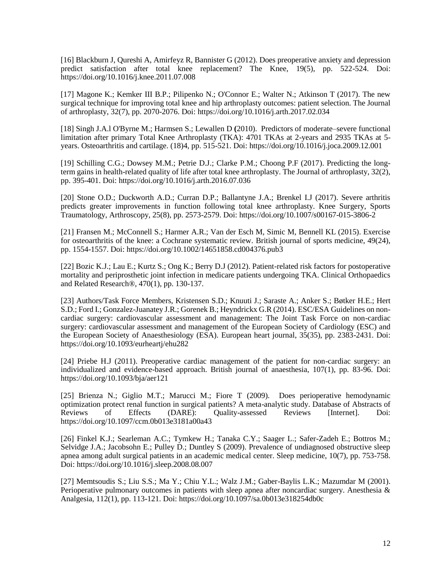[16] Blackburn J, Qureshi A, Amirfeyz R, Bannister G (2012). Does preoperative anxiety and depression predict satisfaction after total knee replacement? The Knee, 19(5), pp. 522-524. Doi: <https://doi.org/10.1016/j.knee.2011.07.008>

[17] Magone K.; Kemker III B.P.; Pilipenko N.; O'Connor E.; Walter N.; Atkinson T (2017). The new surgical technique for improving total knee and hip arthroplasty outcomes: patient selection. The Journal of arthroplasty, 32(7), pp. 2070-2076. Doi:<https://doi.org/10.1016/j.arth.2017.02.034>

[18] Singh J.A.l O'Byrne M.; Harmsen S.; Lewallen D **(**2010). Predictors of moderate–severe functional limitation after primary Total Knee Arthroplasty (TKA): 4701 TKAs at 2-years and 2935 TKAs at 5 years. Osteoarthritis and cartilage. (18)4, pp. 515-521. Doi:<https://doi.org/10.1016/j.joca.2009.12.001>

[19] Schilling C.G.; Dowsey M.M.; Petrie D.J.; Clarke P.M.; Choong P.F (2017). Predicting the longterm gains in health-related quality of life after total knee arthroplasty. The Journal of arthroplasty, 32(2), pp. 395-401. Doi:<https://doi.org/10.1016/j.arth.2016.07.036>

[20] Stone O.D.; Duckworth A.D.; Curran D.P.; Ballantyne J.A.; Brenkel I.J (2017). Severe arthritis predicts greater improvements in function following total knee arthroplasty. Knee Surgery, Sports Traumatology, Arthroscopy, 25(8), pp. 2573-2579. Doi:<https://doi.org/10.1007/s00167-015-3806-2>

[21] Fransen M.; McConnell S.; Harmer A.R.; Van der Esch M, Simic M, Bennell KL (2015). Exercise for osteoarthritis of the knee: a Cochrane systematic review. British journal of sports medicine, 49(24), pp. 1554-1557. Doi:<https://doi.org/10.1002/14651858.cd004376.pub3>

[22] Bozic K.J.; Lau E.; Kurtz S.; Ong K.; Berry D.J (2012). Patient-related risk factors for postoperative mortality and periprosthetic joint infection in medicare patients undergoing TKA. Clinical Orthopaedics and Related Research®, 470(1), pp. 130-137.

[23] Authors/Task Force Members, Kristensen S.D.; Knuuti J.; Saraste A.; Anker S.; Bøtker H.E.; Hert S.D.; Ford I.; Gonzalez-Juanatey J.R.; Gorenek B.; Heyndrickx G.R (2014). ESC/ESA Guidelines on noncardiac surgery: cardiovascular assessment and management: The Joint Task Force on non-cardiac surgery: cardiovascular assessment and management of the European Society of Cardiology (ESC) and the European Society of Anaesthesiology (ESA). European heart journal, 35(35), pp. 2383-2431. Doi: <https://doi.org/10.1093/eurheartj/ehu282>

[24] Priebe H.J (2011). Preoperative cardiac management of the patient for non-cardiac surgery: an individualized and evidence-based approach. British journal of anaesthesia, 107(1), pp. 83-96. Doi: <https://doi.org/10.1093/bja/aer121>

[25] Brienza N.; Giglio M.T.; Marucci M.; Fiore T (2009). Does perioperative hemodynamic optimization protect renal function in surgical patients? A meta-analytic study. Database of Abstracts of Reviews of Effects (DARE): Quality-assessed Reviews [Internet]. Doi: <https://doi.org/10.1097/ccm.0b013e3181a00a43>

[26] Finkel K.J.; Searleman A.C.; Tymkew H.; Tanaka C.Y.; Saager L.; Safer-Zadeh E.; Bottros M.; Selvidge J.A.; Jacobsohn E.; Pulley D.; Duntley S (2009). Prevalence of undiagnosed obstructive sleep apnea among adult surgical patients in an academic medical center. Sleep medicine, 10(7), pp. 753-758. Doi:<https://doi.org/10.1016/j.sleep.2008.08.007>

[27] Memtsoudis S.; Liu S.S.; Ma Y.; Chiu Y.L.; Walz J.M.; Gaber-Baylis L.K.; Mazumdar M (2001). Perioperative pulmonary outcomes in patients with sleep apnea after noncardiac surgery. Anesthesia & Analgesia, 112(1), pp. 113-121. Doi:<https://doi.org/10.1097/sa.0b013e318254db0c>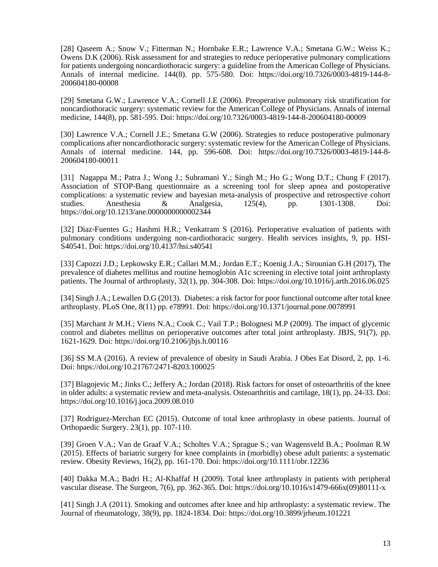[28] Oaseem A.; Snow V.; Fitterman N.; Hornbake E.R.; Lawrence V.A.; Smetana G.W.; Weiss K.; Owens D.K (2006). Risk assessment for and strategies to reduce perioperative pulmonary complications for patients undergoing noncardiothoracic surgery: a guideline from the American College of Physicians. Annals of internal medicine. 144(8). pp. 575-580. Doi: [https://doi.org/10.7326/0003-4819-144-8-](https://doi.org/10.7326/0003-4819-144-8-200604180-00008) [200604180-00008](https://doi.org/10.7326/0003-4819-144-8-200604180-00008)

[29] Smetana G.W.; Lawrence V.A.; Cornell J.E (2006). Preoperative pulmonary risk stratification for noncardiothoracic surgery: systematic review for the American College of Physicians. Annals of internal medicine, 144(8), pp. 581-595. Doi:<https://doi.org/10.7326/0003-4819-144-8-200604180-00009>

[30] Lawrence V.A.; Cornell J.E.; Smetana G.W (2006). Strategies to reduce postoperative pulmonary complications after noncardiothoracic surgery: systematic review for the American College of Physicians. Annals of internal medicine. 144, pp. 596-608. Doi: [https://doi.org/10.7326/0003-4819-144-8-](https://doi.org/10.7326/0003-4819-144-8-200604180-00011) [200604180-00011](https://doi.org/10.7326/0003-4819-144-8-200604180-00011)

[31] Nagappa M.; Patra J.; Wong J.; Subramani Y.; Singh M.; Ho G.; Wong D.T.; Chung F (2017). Association of STOP-Bang questionnaire as a screening tool for sleep apnea and postoperative complications: a systematic review and bayesian meta-analysis of prospective and retrospective cohort studies. Anesthesia & Analgesia, 125(4), pp. 1301-1308. Doi: <https://doi.org/10.1213/ane.0000000000002344>

[32] Diaz-Fuentes G.; Hashmi H.R.; Venkatram S (2016). Perioperative evaluation of patients with pulmonary conditions undergoing non-cardiothoracic surgery. Health services insights, 9, pp. HSI-S40541. Doi:<https://doi.org/10.4137/hsi.s40541>

[33] Capozzi J.D.; Lepkowsky E.R.; Callari M.M.; Jordan E.T.; Koenig J.A.; Sirounian G.H (2017), The prevalence of diabetes mellitus and routine hemoglobin A1c screening in elective total joint arthroplasty patients. The Journal of arthroplasty, 32(1), pp. 304-308. Doi:<https://doi.org/10.1016/j.arth.2016.06.025>

[34] Singh J.A.; Lewallen D.G (2013). Diabetes: a risk factor for poor functional outcome after total knee arthroplasty. PLoS One, 8(11) pp. e78991. Doi:<https://doi.org/10.1371/journal.pone.0078991>

[35] Marchant Jr M.H.; Viens N.A.; Cook C.; Vail T.P.; Bolognesi M.P (2009). The impact of glycemic control and diabetes mellitus on perioperative outcomes after total joint arthroplasty. JBJS, 91(7), pp. 1621-1629. Doi:<https://doi.org/10.2106/jbjs.h.00116>

[36] SS M.A (2016). A review of prevalence of obesity in Saudi Arabia. J Obes Eat Disord, 2, pp. 1-6. Doi:<https://doi.org/10.21767/2471-8203.100025>

[37] Blagojevic M.; Jinks C.; Jeffery A.; Jordan (2018). Risk factors for onset of osteoarthritis of the knee in older adults: a systematic review and meta-analysis. Osteoarthritis and cartilage, 18(1), pp. 24-33. Doi: <https://doi.org/10.1016/j.joca.2009.08.010>

[37] Rodriguez-Merchan EC (2015). Outcome of total knee arthroplasty in obese patients. Journal of Orthopaedic Surgery. 23(1), pp. 107-110.

[39] Groen V.A.; Van de Graaf V.A.; Scholtes V.A.; Sprague S.; van Wagensveld B.A.; Poolman R.W (2015). Effects of bariatric surgery for knee complaints in (morbidly) obese adult patients: a systematic review. Obesity Reviews, 16(2), pp. 161-170. Doi:<https://doi.org/10.1111/obr.12236>

[40] Dakka M.A.; Badri H.; Al-Khaffaf H (2009). Total knee arthroplasty in patients with peripheral vascular disease. The Surgeon, 7(6), pp. 362-365. Doi: [https://doi.org/10.1016/s1479-666x\(09\)80111-x](https://doi.org/10.1016/s1479-666x(09)80111-x)

[41] Singh J.A (2011). Smoking and outcomes after knee and hip arthroplasty: a systematic review. The Journal of rheumatology, 38(9), pp. 1824-1834. Doi:<https://doi.org/10.3899/jrheum.101221>